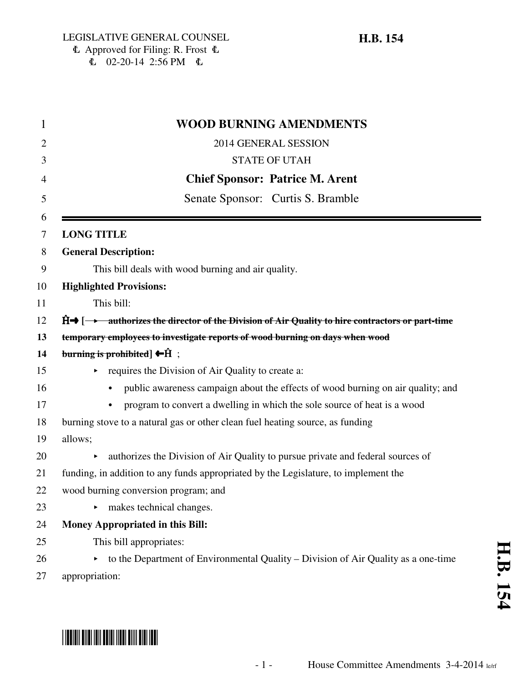$\text{L}$  02-20-14 2:56 PM  $\text{L}$ 

## 1 **WOOD BURNING AMENDMENTS** 2 2014 GENERAL SESSION 3 STATE OF UTAH 4 **Chief Sponsor: Patrice M. Arent** 5 Senate Sponsor: Curtis S. Bramble 6 7 **LONG TITLE** 8 **General Description:** 9 This bill deals with wood burning and air quality. 10 **Highlighted Provisions:** 11 This bill: 12 º **[** < **authorizes the director of the Division of Air Quality to hire contractors or part-time 13 temporary employees to investigate reports of wood burning on days when wood** 14 burning is prohibited  $\leftarrow$  **i**  $\leftarrow$  **i**  $\leftarrow$  **i**  $\leftarrow$ 15 requires the Division of Air Quality to create a: 16 vert public awareness campaign about the effects of wood burning on air quality; and 17 **Conserverty** program to convert a dwelling in which the sole source of heat is a wood 18 burning stove to a natural gas or other clean fuel heating source, as funding 19 allows;  $20$   $\rightarrow$  authorizes the Division of Air Quality to pursue private and federal sources of 21 funding, in addition to any funds appropriated by the Legislature, to implement the 22 wood burning conversion program; and 23 • makes technical changes. 24 **Money Appropriated in this Bill:** 25 This bill appropriates: 26  $\rightarrow$  to the Department of Environmental Quality – Division of Air Quality as a one-time 27 appropriation:

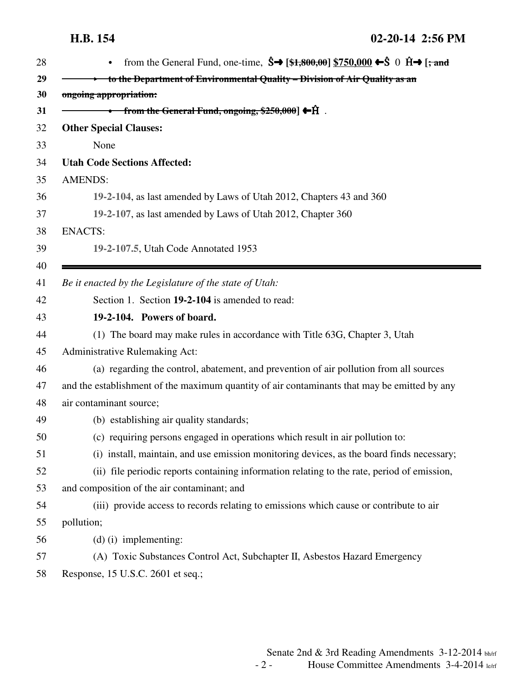| from the General Fund, one-time, $\hat{S} \rightarrow [\frac{4}{3}4, 800, 00]$ \$750,000 $\leftarrow \hat{S}$ 0 $\hat{H} \rightarrow [\frac{4}{3} \text{ and } 1]$ |                                                                                              |
|--------------------------------------------------------------------------------------------------------------------------------------------------------------------|----------------------------------------------------------------------------------------------|
| to the Department of Environmental Quality - Division of Air Quality as an<br>ongoing appropriation:                                                               |                                                                                              |
|                                                                                                                                                                    |                                                                                              |
|                                                                                                                                                                    | <b>Other Special Clauses:</b>                                                                |
|                                                                                                                                                                    | None                                                                                         |
|                                                                                                                                                                    | <b>Utah Code Sections Affected:</b>                                                          |
|                                                                                                                                                                    | <b>AMENDS:</b>                                                                               |
|                                                                                                                                                                    | 19-2-104, as last amended by Laws of Utah 2012, Chapters 43 and 360                          |
|                                                                                                                                                                    | 19-2-107, as last amended by Laws of Utah 2012, Chapter 360                                  |
|                                                                                                                                                                    | <b>ENACTS:</b>                                                                               |
|                                                                                                                                                                    | 19-2-107.5, Utah Code Annotated 1953                                                         |
|                                                                                                                                                                    | Be it enacted by the Legislature of the state of Utah:                                       |
|                                                                                                                                                                    | Section 1. Section 19-2-104 is amended to read:                                              |
|                                                                                                                                                                    | 19-2-104. Powers of board.                                                                   |
|                                                                                                                                                                    | (1) The board may make rules in accordance with Title 63G, Chapter 3, Utah                   |
|                                                                                                                                                                    | Administrative Rulemaking Act:                                                               |
|                                                                                                                                                                    | (a) regarding the control, abatement, and prevention of air pollution from all sources       |
|                                                                                                                                                                    | and the establishment of the maximum quantity of air contaminants that may be emitted by any |
|                                                                                                                                                                    | air contaminant source;                                                                      |
|                                                                                                                                                                    | (b) establishing air quality standards;                                                      |
|                                                                                                                                                                    | (c) requiring persons engaged in operations which result in air pollution to:                |
|                                                                                                                                                                    | (i) install, maintain, and use emission monitoring devices, as the board finds necessary;    |
|                                                                                                                                                                    | (ii) file periodic reports containing information relating to the rate, period of emission,  |
|                                                                                                                                                                    | and composition of the air contaminant; and                                                  |
|                                                                                                                                                                    | (iii) provide access to records relating to emissions which cause or contribute to air       |
|                                                                                                                                                                    | pollution;                                                                                   |
|                                                                                                                                                                    | $(d)$ (i) implementing:                                                                      |
|                                                                                                                                                                    | (A) Toxic Substances Control Act, Subchapter II, Asbestos Hazard Emergency                   |
|                                                                                                                                                                    | Response, 15 U.S.C. 2601 et seq.;                                                            |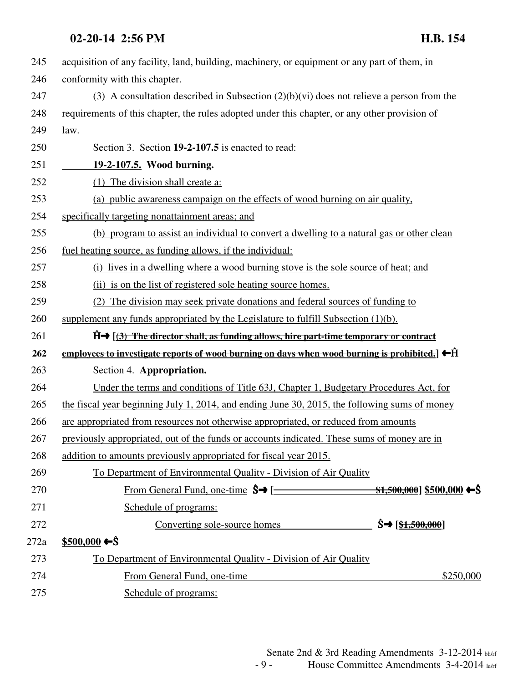## **02-20-14 2:56 PM H.B. 154**

| 245  | acquisition of any facility, land, building, machinery, or equipment or any part of them, in                                      |
|------|-----------------------------------------------------------------------------------------------------------------------------------|
| 246  | conformity with this chapter.                                                                                                     |
| 247  | (3) A consultation described in Subsection $(2)(b)(vi)$ does not relieve a person from the                                        |
| 248  | requirements of this chapter, the rules adopted under this chapter, or any other provision of                                     |
| 249  | law.                                                                                                                              |
| 250  | Section 3. Section 19-2-107.5 is enacted to read:                                                                                 |
| 251  | 19-2-107.5. Wood burning.                                                                                                         |
| 252  | (1) The division shall create a:                                                                                                  |
| 253  | (a) public awareness campaign on the effects of wood burning on air quality,                                                      |
| 254  | specifically targeting nonattainment areas; and                                                                                   |
| 255  | (b) program to assist an individual to convert a dwelling to a natural gas or other clean                                         |
| 256  | fuel heating source, as funding allows, if the individual:                                                                        |
| 257  | (i) lives in a dwelling where a wood burning stove is the sole source of heat; and                                                |
| 258  | (ii) is on the list of registered sole heating source homes.                                                                      |
| 259  | (2) The division may seek private donations and federal sources of funding to                                                     |
| 260  | supplement any funds appropriated by the Legislature to fulfill Subsection $(1)(b)$ .                                             |
| 261  | $\hat{H}$ $\rightarrow$ $\left[\frac{(3)}{12}\right]$ The director shall, as funding allows, hire part-time temporary or contract |
| 262  | employees to investigate reports of wood burning on days when wood burning is prohibited.] $\leftarrow$ H                         |
| 263  | Section 4. Appropriation.                                                                                                         |
| 264  | Under the terms and conditions of Title 63J, Chapter 1, Budgetary Procedures Act, for                                             |
| 265  | the fiscal year beginning July 1, 2014, and ending June 30, 2015, the following sums of money                                     |
| 266  | are appropriated from resources not otherwise appropriated, or reduced from amounts                                               |
| 267  | previously appropriated, out of the funds or accounts indicated. These sums of money are in                                       |
| 268  | addition to amounts previously appropriated for fiscal year 2015.                                                                 |
| 269  | To Department of Environmental Quality - Division of Air Quality                                                                  |
| 270  |                                                                                                                                   |
| 271  | Schedule of programs:                                                                                                             |
| 272  | $\hat{S} \rightarrow [\frac{61,500,000}{1}]$<br>Converting sole-source homes                                                      |
| 272a | $$500,000$ ← Ŝ                                                                                                                    |
| 273  | To Department of Environmental Quality - Division of Air Quality                                                                  |
| 274  | From General Fund, one-time<br>\$250,000                                                                                          |
| 275  | Schedule of programs:                                                                                                             |